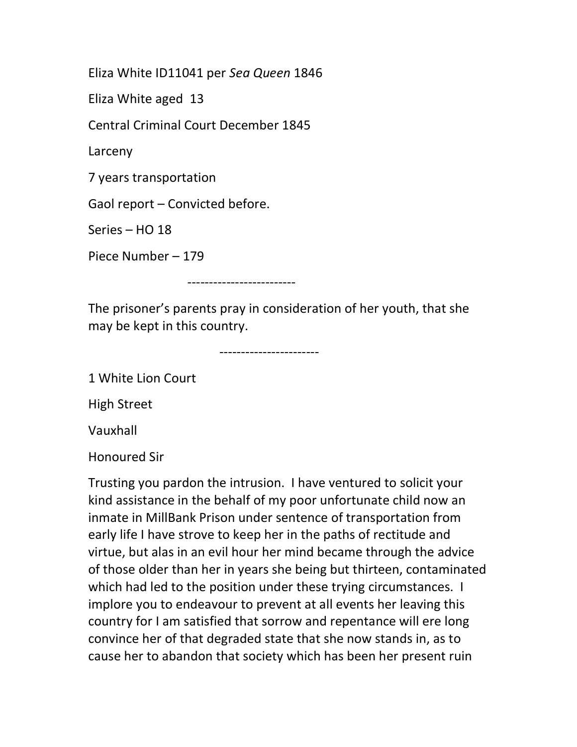Eliza White ID11041 per Sea Queen 1846

Eliza White aged 13

Central Criminal Court December 1845

Larceny

7 years transportation

Gaol report – Convicted before.

Series – HO 18

Piece Number – 179

-------------------------

The prisoner's parents pray in consideration of her youth, that she may be kept in this country.

-----------------------

1 White Lion Court

High Street

Vauxhall

Honoured Sir

Trusting you pardon the intrusion. I have ventured to solicit your kind assistance in the behalf of my poor unfortunate child now an inmate in MillBank Prison under sentence of transportation from early life I have strove to keep her in the paths of rectitude and virtue, but alas in an evil hour her mind became through the advice of those older than her in years she being but thirteen, contaminated which had led to the position under these trying circumstances. I implore you to endeavour to prevent at all events her leaving this country for I am satisfied that sorrow and repentance will ere long convince her of that degraded state that she now stands in, as to cause her to abandon that society which has been her present ruin